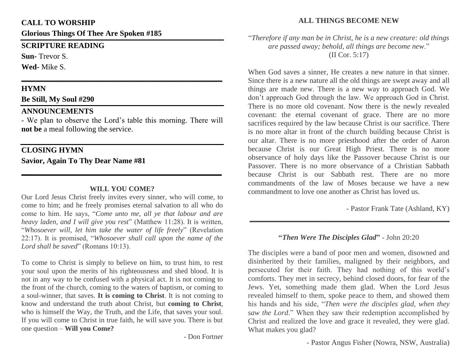### **CALL TO WORSHIP**

**Glorious Things Of Thee Are Spoken #185**

# **SCRIPTURE READING**

**Sun-** Trevor S.

**Wed-** Mike S.

# **HYMN**

**Be Still, My Soul #290**

# **ANNOUNCEMENTS**

- We plan to observe the Lord's table this morning. There will **not be** a meal following the service.

**\_\_\_\_\_\_\_\_\_\_\_\_\_\_\_\_\_\_\_\_\_\_\_\_\_\_\_\_\_\_\_\_\_\_\_\_\_\_\_\_\_\_\_\_\_\_\_\_\_\_\_\_**

# **CLOSING HYMN Savior, Again To Thy Dear Name #81**

## **WILL YOU COME?**

**\_\_\_\_\_\_\_\_\_\_\_\_\_\_\_\_\_\_\_\_\_\_\_\_\_\_\_\_\_\_\_\_\_\_\_\_\_\_\_\_\_\_\_\_\_\_\_\_\_\_**

Our Lord Jesus Christ freely invites every sinner, who will come, to come to him; and he freely promises eternal salvation to all who do come to him. He says, "*Come unto me, all ye that labour and are heavy laden, and I will give you rest*" (Matthew 11:28). It is written, "*Whosoever will, let him take the water of life freely*" (Revelation 22:17). It is promised, "*Whosoever shall call upon the name of the Lord shall be saved*" (Romans 10:13).

To come to Christ is simply to believe on him, to trust him, to rest your soul upon the merits of his righteousness and shed blood. It is not in any way to be confused with a physical act. It is not coming to the front of the church, coming to the waters of baptism, or coming to a soul-winner, that saves. **It is coming to Christ**. It is not coming to know and understand the truth about Christ, but **coming to Christ**, who is himself the Way, the Truth, and the Life, that saves your soul. If you will come to Christ in true faith, he will save you. There is but one question – **Will you Come?**

- Don Fortner

# **ALL THINGS BECOME NEW**

"*Therefore if any man be in Christ, he is a new creature: old things are passed away; behold, all things are become new*."

(II Cor. 5:17)

When God saves a sinner, He creates a new nature in that sinner. Since there is a new nature all the old things are swept away and all things are made new. There is a new way to approach God. We don't approach God through the law. We approach God in Christ. There is no more old covenant. Now there is the newly revealed covenant: the eternal covenant of grace. There are no more sacrifices required by the law because Christ is our sacrifice. There is no more altar in front of the church building because Christ is our altar. There is no more priesthood after the order of Aaron because Christ is our Great High Priest. There is no more observance of holy days like the Passover because Christ is our Passover. There is no more observance of a Christian Sabbath because Christ is our Sabbath rest. There are no more commandments of the law of Moses because we have a new commandment to love one another as Christ has loved us.

- Pastor Frank Tate (Ashland, KY)

## **"***Then Were The Disciples Glad***"** - John 20:20

**\_\_\_\_\_\_\_\_\_\_\_\_\_\_\_\_\_\_\_\_\_\_\_\_\_\_\_\_\_\_\_\_\_\_\_\_\_\_\_\_\_\_\_\_\_\_\_\_**

The disciples were a band of poor men and women, disowned and disinherited by their families, maligned by their neighbors, and persecuted for their faith. They had nothing of this world's comforts. They met in secrecy, behind closed doors, for fear of the Jews. Yet, something made them glad. When the Lord Jesus revealed himself to them, spoke peace to them, and showed them his hands and his side, "*Then were the disciples glad, when they saw the Lord*." When they saw their redemption accomplished by Christ and realized the love and grace it revealed, they were glad. What makes you glad?

- Pastor Angus Fisher (Nowra, NSW, Australia)